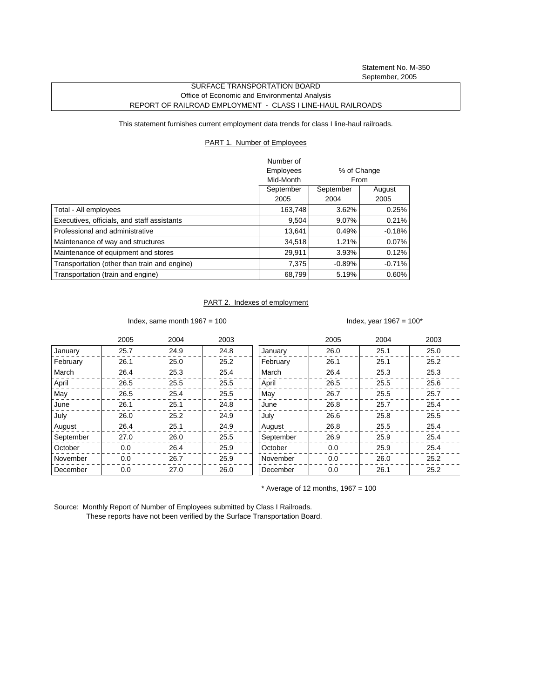Statement No. M-350 September, 2005

## SURFACE TRANSPORTATION BOARD Office of Economic and Environmental Analysis REPORT OF RAILROAD EMPLOYMENT - CLASS I LINE-HAUL RAILROADS

This statement furnishes current employment data trends for class I line-haul railroads.

## PART 1. Number of Employees

|                                              | Number of |             |          |
|----------------------------------------------|-----------|-------------|----------|
|                                              | Employees | % of Change |          |
|                                              | Mid-Month | From        |          |
|                                              | September | September   | August   |
|                                              | 2005      | 2004        | 2005     |
| Total - All employees                        | 163,748   | 3.62%       | 0.25%    |
| Executives, officials, and staff assistants  | 9.504     | 9.07%       | 0.21%    |
| Professional and administrative              | 13.641    | 0.49%       | $-0.18%$ |
| Maintenance of way and structures            | 34,518    | 1.21%       | $0.07\%$ |
| Maintenance of equipment and stores          | 29,911    | 3.93%       | 0.12%    |
| Transportation (other than train and engine) | 7.375     | $-0.89%$    | $-0.71%$ |
| Transportation (train and engine)            | 68,799    | 5.19%       | $0.60\%$ |

## PART 2. Indexes of employment

Index, same month  $1967 = 100$  Index, year  $1967 = 100^*$ 

|           | 2005 | 2004 | 2003 |           | 2005 | 2004 | 2003 |
|-----------|------|------|------|-----------|------|------|------|
| January   | 25.7 | 24.9 | 24.8 | January   | 26.0 | 25.1 | 25.0 |
| February  | 26.1 | 25.0 | 25.2 | February  | 26.1 | 25.1 | 25.2 |
| March     | 26.4 | 25.3 | 25.4 | March     | 26.4 | 25.3 | 25.3 |
| April     | 26.5 | 25.5 | 25.5 | April     | 26.5 | 25.5 | 25.6 |
| May       | 26.5 | 25.4 | 25.5 | May       | 26.7 | 25.5 | 25.7 |
| June      | 26.1 | 25.1 | 24.8 | June      | 26.8 | 25.7 | 25.4 |
| July      | 26.0 | 25.2 | 24.9 | July      | 26.6 | 25.8 | 25.5 |
| August    | 26.4 | 25.1 | 24.9 | August    | 26.8 | 25.5 | 25.4 |
| September | 27.0 | 26.0 | 25.5 | September | 26.9 | 25.9 | 25.4 |
| October   | 0.0  | 26.4 | 25.9 | October   | 0.0  | 25.9 | 25.4 |
| November  | 0.0  | 26.7 | 25.9 | November  | 0.0  | 26.0 | 25.2 |
| December  | 0.0  | 27.0 | 26.0 | December  | 0.0  | 26.1 | 25.2 |

 $*$  Average of 12 months, 1967 = 100

Source: Monthly Report of Number of Employees submitted by Class I Railroads. These reports have not been verified by the Surface Transportation Board.